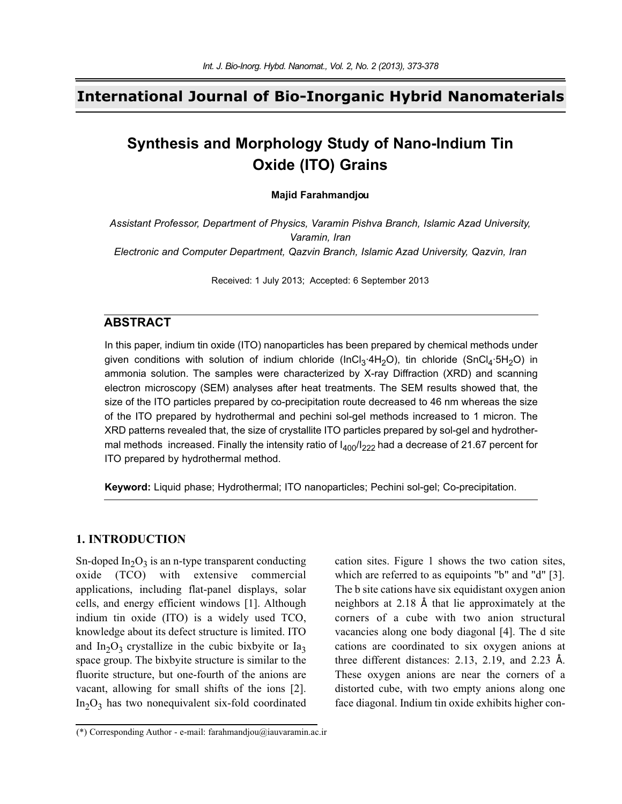## **International Journal of Bio-Inorganic Hybrid Nanomaterials**

# **Synthesis and Morphology Study of Nano-Indium Tin Oxide (ITO) Grains**

### **Majid Farahmandjou**

*Assistant Professor, Department of Physics, Varamin Pishva Branch, Islamic Azad University, Varamin, Iran Electronic and Computer Department, Qazvin Branch, Islamic Azad University, Qazvin, Iran*

Received: 1 July 2013; Accepted: 6 September 2013

### **ABSTRACT**

In this paper, indium tin oxide (ITO) nanoparticles has been prepared by chemical methods under given conditions with solution of indium chloride (InCl<sub>3</sub>·4H<sub>2</sub>O), tin chloride (SnCl<sub>4</sub>·5H<sub>2</sub>O) in ammonia solution. The samples were characterized by X-ray Diffraction (XRD) and scanning electron microscopy (SEM) analyses after heat treatments. The SEM results showed that, the size of the ITO particles prepared by co-precipitation route decreased to 46 nm whereas the size of the ITO prepared by hydrothermal and pechini sol-gel methods increased to 1 micron. The XRD patterns revealed that, the size of crystallite ITO particles prepared by sol-gel and hydrothermal methods increased. Finally the intensity ratio of  $I_{400}/I_{222}$  had a decrease of 21.67 percent for ITO prepared by hydrothermal method.

**Keyword:** Liquid phase; Hydrothermal; ITO nanoparticles; Pechini sol-gel; Co-precipitation.

### **1. INTRODUCTION**

Sn-doped  $In_2O_3$  is an n-type transparent conducting oxide (TCO) with extensive commercial applications, including flat-panel displays, solar cells, and energy efficient windows [1]. Although indium tin oxide (ITO) is a widely used TCO, knowledge about its defect structure is limited. ITO and  $In_2O_3$  crystallize in the cubic bixbyite or  $Ia_3$ space group. The bixbyite structure is similar to the fluorite structure, but one-fourth of the anions are vacant, allowing for small shifts of the ions [2].  $In<sub>2</sub>O<sub>3</sub>$  has two nonequivalent six-fold coordinated

cation sites. Figure 1 shows the two cation sites, which are referred to as equipoints "b" and "d" [3]. The b site cations have six equidistant oxygen anion neighbors at 2.18 Å that lie approximately at the corners of a cube with two anion structural vacancies along one body diagonal [4]. The d site cations are coordinated to six oxygen anions at three different distances: 2.13, 2.19, and 2.23 Å. These oxygen anions are near the corners of a distorted cube, with two empty anions along one face diagonal. Indium tin oxide exhibits higher con-

<sup>(\*)</sup> Corresponding Author - e-mail: farahmandjou@iauvaramin.ac.ir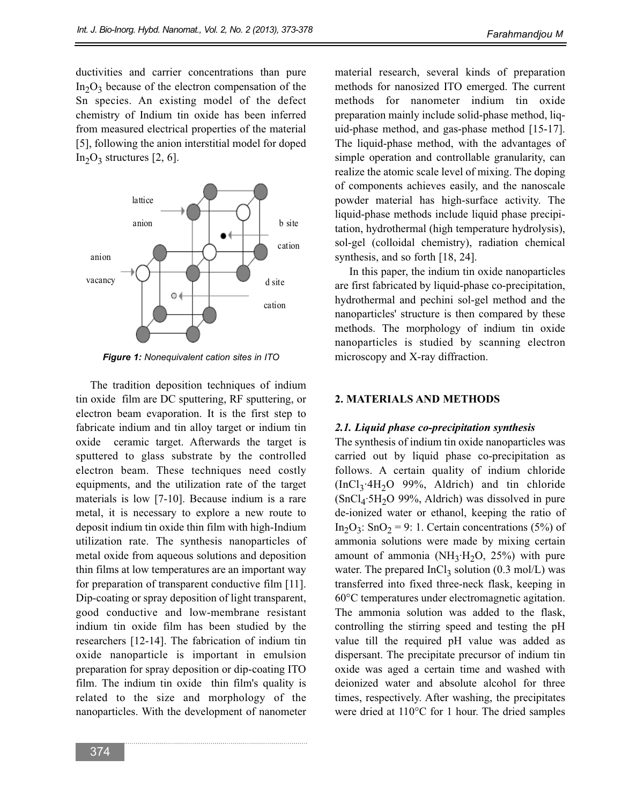ductivities and carrier concentrations than pure  $In_2O_3$  because of the electron compensation of the Sn species. An existing model of the defect chemistry of Indium tin oxide has been inferred from measured electrical properties of the material [5], following the anion interstitial model for doped  $In_2O_3$  structures [2, 6].



*Figure 1: Nonequivalent cation sites in ITO* 

The tradition deposition techniques of indium tin oxide film are DC sputtering, RF sputtering, or electron beam evaporation. It is the first step to fabricate indium and tin alloy target or indium tin oxide ceramic target. Afterwards the target is sputtered to glass substrate by the controlled electron beam. These techniques need costly equipments, and the utilization rate of the target materials is low [7-10]. Because indium is a rare metal, it is necessary to explore a new route to deposit indium tin oxide thin film with high-Indium utilization rate. The synthesis nanoparticles of metal oxide from aqueous solutions and deposition thin films at low temperatures are an important way for preparation of transparent conductive film [11]. Dip-coating or spray deposition of light transparent, good conductive and low-membrane resistant indium tin oxide film has been studied by the researchers [12-14]. The fabrication of indium tin oxide nanoparticle is important in emulsion preparation for spray deposition or dip-coating ITO film. The indium tin oxide thin film's quality is related to the size and morphology of the nanoparticles. With the development of nanometer

material research, several kinds of preparation methods for nanosized ITO emerged. The current methods for nanometer indium tin oxide preparation mainly include solid-phase method, liquid-phase method, and gas-phase method [15-17]. The liquid-phase method, with the advantages of simple operation and controllable granularity, can realize the atomic scale level of mixing. The doping of components achieves easily, and the nanoscale powder material has high-surface activity. The liquid-phase methods include liquid phase precipitation, hydrothermal (high temperature hydrolysis), sol-gel (colloidal chemistry), radiation chemical synthesis, and so forth [18, 24].

In this paper, the indium tin oxide nanoparticles are first fabricated by liquid-phase co-precipitation, hydrothermal and pechini sol-gel method and the nanoparticles' structure is then compared by these methods. The morphology of indium tin oxide nanoparticles is studied by scanning electron microscopy and X-ray diffraction.

### **2. MATERIALS AND METHODS**

### *2.1. Liquid phase co-precipitation synthesis*

The synthesis of indium tin oxide nanoparticles was carried out by liquid phase co-precipitation as follows. A certain quality of indium chloride  $(Incl_3.4H_2O 99\%, Aldrich)$  and tin chloride  $(SnCl<sub>4</sub>·5H<sub>2</sub>O 99%,$  Aldrich) was dissolved in pure de-ionized water or ethanol, keeping the ratio of In<sub>2</sub>O<sub>3</sub>: SnO<sub>2</sub> = 9: 1. Certain concentrations (5%) of ammonia solutions were made by mixing certain amount of ammonia ( $NH_3·H_2O$ , 25%) with pure water. The prepared  $InCl<sub>3</sub>$  solution (0.3 mol/L) was transferred into fixed three-neck flask, keeping in 60°C temperatures under electromagnetic agitation. The ammonia solution was added to the flask, controlling the stirring speed and testing the pH value till the required pH value was added as dispersant. The precipitate precursor of indium tin oxide was aged a certain time and washed with deionized water and absolute alcohol for three times, respectively. After washing, the precipitates were dried at 110°C for 1 hour. The dried samples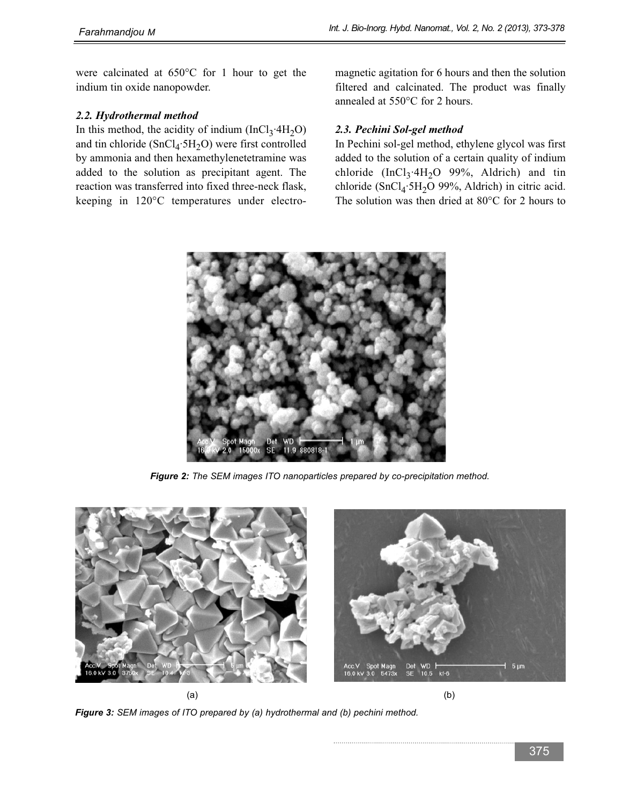were calcinated at 650°C for 1 hour to get the indium tin oxide nanopowder.

### *2.2. Hydrothermal method*

In this method, the acidity of indium (InCl<sub>3</sub>·4H<sub>2</sub>O) and tin chloride  $(SnCl<sub>4</sub>·5H<sub>2</sub>O)$  were first controlled by ammonia and then hexamethylenetetramine was added to the solution as precipitant agent. The reaction was transferred into fixed three-neck flask, keeping in 120°C temperatures under electromagnetic agitation for 6 hours and then the solution filtered and calcinated. The product was finally annealed at 550°C for 2 hours.

### *2.3. Pechini Sol-gel method*

In Pechini sol-gel method, ethylene glycol was first added to the solution of a certain quality of indium chloride (InCl<sub>3</sub>·4H<sub>2</sub>O 99%, Aldrich) and tin chloride (SnCl<sub>4</sub>·5H<sub>2</sub>O 99%, Aldrich) in citric acid. The solution was then dried at 80°C for 2 hours to



*Figure 2: The SEM images ITO nanoparticles prepared by co-precipitation method.*



*Figure 3: SEM images of ITO prepared by (a) hydrothermal and (b) pechini method.*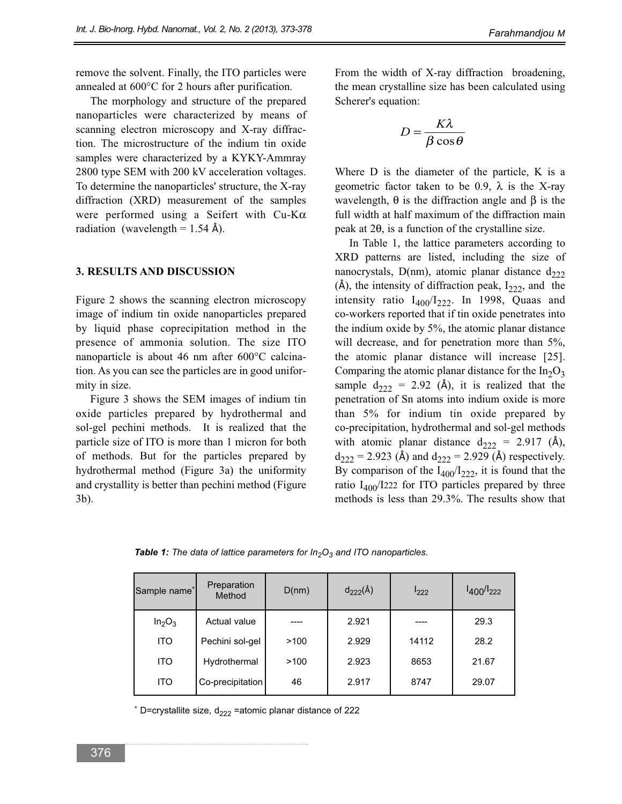remove the solvent. Finally, the ITO particles were annealed at 600°C for 2 hours after purification.

The morphology and structure of the prepared nanoparticles were characterized by means of scanning electron microscopy and X-ray diffraction. The microstructure of the indium tin oxide samples were characterized by a KYKY-Ammray 2800 type SEM with 200 kV acceleration voltages. To determine the nanoparticles' structure, the X-ray diffraction (XRD) measurement of the samples were performed using a Seifert with Cu-Kα radiation (wavelength =  $1.54 \text{ Å}$ ).

### **3. RESULTS AND DISCUSSION**

Figure 2 shows the scanning electron microscopy image of indium tin oxide nanoparticles prepared by liquid phase coprecipitation method in the presence of ammonia solution. The size ITO nanoparticle is about 46 nm after 600°C calcination. As you can see the particles are in good uniformity in size.

Figure 3 shows the SEM images of indium tin oxide particles prepared by hydrothermal and sol-gel pechini methods. It is realized that the particle size of ITO is more than 1 micron for both of methods. But for the particles prepared by hydrothermal method (Figure 3a) the uniformity and crystallity is better than pechini method (Figure 3b).

From the width of X-ray diffraction broadening, the mean crystalline size has been calculated using Scherer's equation:

$$
D = \frac{K\lambda}{\beta\cos\theta}
$$

Where D is the diameter of the particle, K is a geometric factor taken to be 0.9,  $\lambda$  is the X-ray wavelength,  $θ$  is the diffraction angle and  $β$  is the full width at half maximum of the diffraction main peak at 2θ, is a function of the crystalline size.

In Table 1, the lattice parameters according to XRD patterns are listed, including the size of nanocrystals, D(nm), atomic planar distance  $d_{222}$  $(A)$ , the intensity of diffraction peak,  $I_{222}$ , and the intensity ratio  $I_{400}/I_{222}$ . In 1998, Quaas and co-workers reported that if tin oxide penetrates into the indium oxide by 5%, the atomic planar distance will decrease, and for penetration more than 5%, the atomic planar distance will increase [25]. Comparing the atomic planar distance for the  $In_2O_3$ sample  $d_{222} = 2.92$  (Å), it is realized that the penetration of Sn atoms into indium oxide is more than 5% for indium tin oxide prepared by co-precipitation, hydrothermal and sol-gel methods with atomic planar distance  $d_{222} = 2.917$  (Å),  $d_{222} = 2.923$  (Å) and  $d_{222} = 2.929$  (Å) respectively. By comparison of the  $I_{400}/I_{222}$ , it is found that the ratio  $I_{400}/I_{222}$  for ITO particles prepared by three methods is less than 29.3%. The results show that

**Table 1:** The data of lattice parameters for In<sub>2</sub>O<sub>3</sub> and ITO nanoparticles.

| Sample name <sup>*</sup>       | Preparation<br>Method | D(nm) | $d_{222}(\AA)$ | $I_{222}$ | $I_{400}/I_{222}$ |
|--------------------------------|-----------------------|-------|----------------|-----------|-------------------|
| In <sub>2</sub> O <sub>3</sub> | Actual value          |       | 2.921          |           | 29.3              |
| <b>ITO</b>                     | Pechini sol-gel       | >100  | 2.929          | 14112     | 28.2              |
| <b>ITO</b>                     | Hydrothermal          | >100  | 2.923          | 8653      | 21.67             |
| <b>ITO</b>                     | Co-precipitation      | 46    | 2.917          | 8747      | 29.07             |

\* D=crystallite size,  $d_{222}$  =atomic planar distance of 222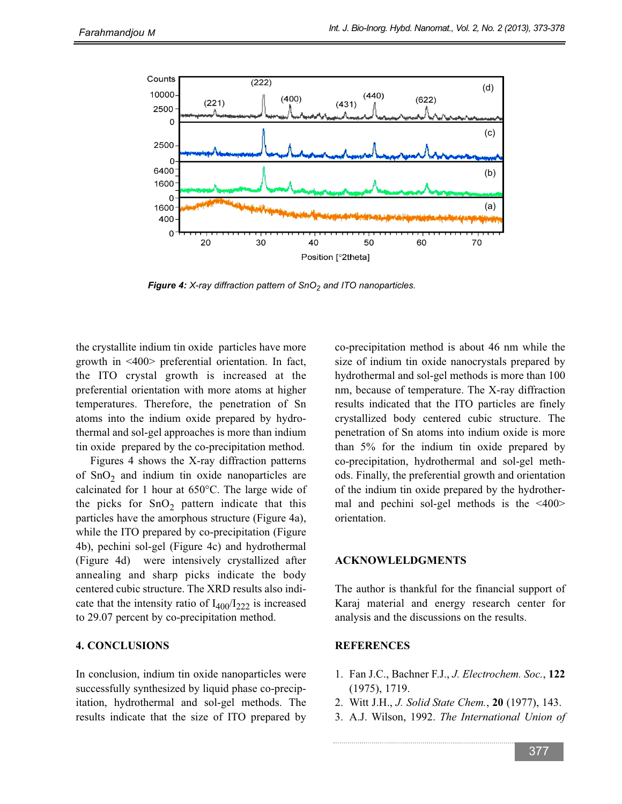

*Figure 4: X-ray diffraction pattern of SnO<sub>2</sub> and ITO nanoparticles.* 

the crystallite indium tin oxide particles have more growth in <400> preferential orientation. In fact, the ITO crystal growth is increased at the preferential orientation with more atoms at higher temperatures. Therefore, the penetration of Sn atoms into the indium oxide prepared by hydrothermal and sol-gel approaches is more than indium tin oxide prepared by the co-precipitation method.

Figures 4 shows the X-ray diffraction patterns of  $SnO<sub>2</sub>$  and indium tin oxide nanoparticles are calcinated for 1 hour at 650°C. The large wide of the picks for  $SnO<sub>2</sub>$  pattern indicate that this particles have the amorphous structure (Figure 4a), while the ITO prepared by co-precipitation (Figure 4b), pechini sol-gel (Figure 4c) and hydrothermal (Figure 4d) were intensively crystallized after annealing and sharp picks indicate the body centered cubic structure. The XRD results also indicate that the intensity ratio of  $I_{400}/I_{222}$  is increased to 29.07 percent by co-precipitation method.

#### **4. CONCLUSIONS**

In conclusion, indium tin oxide nanoparticles were successfully synthesized by liquid phase co-precipitation, hydrothermal and sol-gel methods. The results indicate that the size of ITO prepared by

co-precipitation method is about 46 nm while the size of indium tin oxide nanocrystals prepared by hydrothermal and sol-gel methods is more than 100 nm, because of temperature. The X-ray diffraction results indicated that the ITO particles are finely crystallized body centered cubic structure. The penetration of Sn atoms into indium oxide is more than 5% for the indium tin oxide prepared by co-precipitation, hydrothermal and sol-gel methods. Finally, the preferential growth and orientation of the indium tin oxide prepared by the hydrothermal and pechini sol-gel methods is the <400> orientation.

### **ACKNOWLELDGMENTS**

The author is thankful for the financial support of Karaj material and energy research center for analysis and the discussions on the results.

### **REFERENCES**

- 1. Fan J.C., Bachner F.J., *J. Electrochem. Soc.*, **122** (1975), 1719.
- 2. Witt J.H., *J. Solid State Chem.*, **20** (1977), 143.
- 3. A.J. Wilson, 1992. *The International Union of*